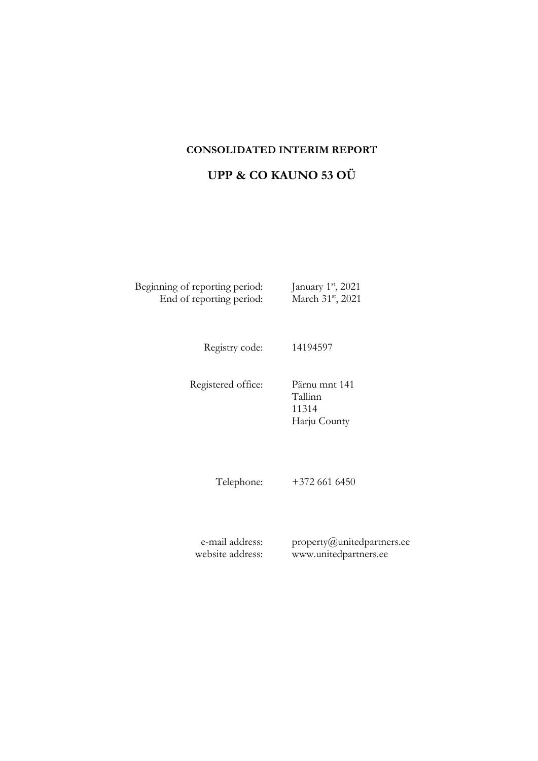### **CONSOLIDATED INTERIM REPORT**

# **UPP & CO KAUNO 53 OÜ**

Beginning of reporting period: st , 2021 End of reporting period: March 31<sup>st</sup>, 2021

Registry code: 14194597

Registered office: Pärnu mnt 141 Tallinn 11314 Harju County

Telephone: +372 661 6450

e-mail address: website address: property@unitedpartners.ee www.unitedpartners.ee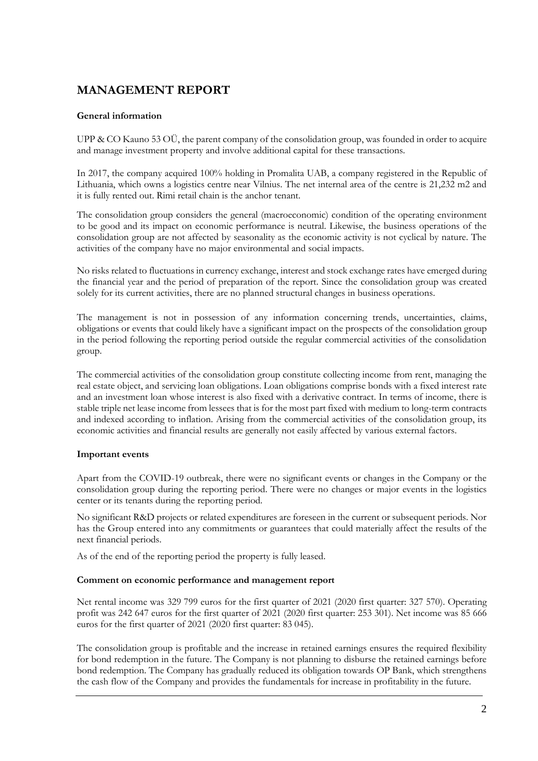# **MANAGEMENT REPORT**

### **General information**

UPP & CO Kauno 53 OÜ, the parent company of the consolidation group, was founded in order to acquire and manage investment property and involve additional capital for these transactions.

In 2017, the company acquired 100% holding in Promalita UAB, a company registered in the Republic of Lithuania, which owns a logistics centre near Vilnius. The net internal area of the centre is 21,232 m2 and it is fully rented out. Rimi retail chain is the anchor tenant.

The consolidation group considers the general (macroeconomic) condition of the operating environment to be good and its impact on economic performance is neutral. Likewise, the business operations of the consolidation group are not affected by seasonality as the economic activity is not cyclical by nature. The activities of the company have no major environmental and social impacts.

No risks related to fluctuations in currency exchange, interest and stock exchange rates have emerged during the financial year and the period of preparation of the report. Since the consolidation group was created solely for its current activities, there are no planned structural changes in business operations.

The management is not in possession of any information concerning trends, uncertainties, claims, obligations or events that could likely have a significant impact on the prospects of the consolidation group in the period following the reporting period outside the regular commercial activities of the consolidation group.

The commercial activities of the consolidation group constitute collecting income from rent, managing the real estate object, and servicing loan obligations. Loan obligations comprise bonds with a fixed interest rate and an investment loan whose interest is also fixed with a derivative contract. In terms of income, there is stable triple net lease income from lessees that is for the most part fixed with medium to long-term contracts and indexed according to inflation. Arising from the commercial activities of the consolidation group, its economic activities and financial results are generally not easily affected by various external factors.

#### **Important events**

Apart from the COVID-19 outbreak, there were no significant events or changes in the Company or the consolidation group during the reporting period. There were no changes or major events in the logistics center or its tenants during the reporting period.

No significant R&D projects or related expenditures are foreseen in the current or subsequent periods. Nor has the Group entered into any commitments or guarantees that could materially affect the results of the next financial periods.

As of the end of the reporting period the property is fully leased.

#### **Comment on economic performance and management report**

Net rental income was 329 799 euros for the first quarter of 2021 (2020 first quarter: 327 570). Operating profit was 242 647 euros for the first quarter of 2021 (2020 first quarter: 253 301). Net income was 85 666 euros for the first quarter of 2021 (2020 first quarter: 83 045).

The consolidation group is profitable and the increase in retained earnings ensures the required flexibility for bond redemption in the future. The Company is not planning to disburse the retained earnings before bond redemption. The Company has gradually reduced its obligation towards OP Bank, which strengthens the cash flow of the Company and provides the fundamentals for increase in profitability in the future.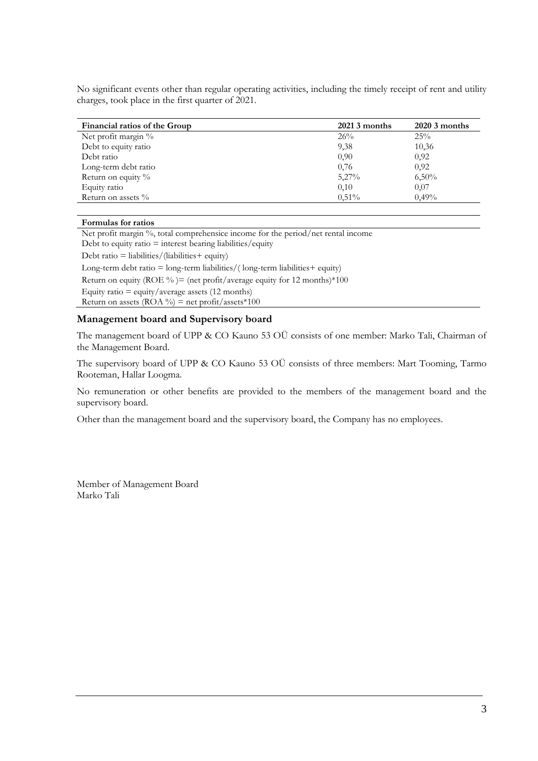No significant events other than regular operating activities, including the timely receipt of rent and utility charges, took place in the first quarter of 2021.

| Financial ratios of the Group | $20213$ months | $20203$ months |
|-------------------------------|----------------|----------------|
| Net profit margin %           | 26%            | 25%            |
| Debt to equity ratio          | 9,38           | 10,36          |
| Debt ratio                    | 0.90           | 0.92           |
| Long-term debt ratio          | 0,76           | 0,92           |
| Return on equity %            | $5,27\%$       | 6,50%          |
| Equity ratio                  | 0,10           | 0,07           |
| Return on assets $\%$         | $0.51\%$       | 0.49%          |

#### **Formulas for ratios**

Net profit margin %, total comprehensice income for the period/net rental income Debt to equity ratio  $=$  interest bearing liabilities/equity

Debt ratio = liabilities/(liabilities+ equity)

Long-term debt ratio  $=$  long-term liabilities/(long-term liabilities  $+$  equity) Return on equity (ROE %) = (net profit/average equity for 12 months) \*100 Equity ratio  $=$  equity/average assets (12 months)

Return on assets (ROA %) = net profit/assets\*100

#### **Management board and Supervisory board**

The management board of UPP & CO Kauno 53 OÜ consists of one member: Marko Tali, Chairman of the Management Board.

The supervisory board of UPP & CO Kauno 53 OÜ consists of three members: Mart Tooming, Tarmo Rooteman, Hallar Loogma.

No remuneration or other benefits are provided to the members of the management board and the supervisory board.

Other than the management board and the supervisory board, the Company has no employees.

Member of Management Board Marko Tali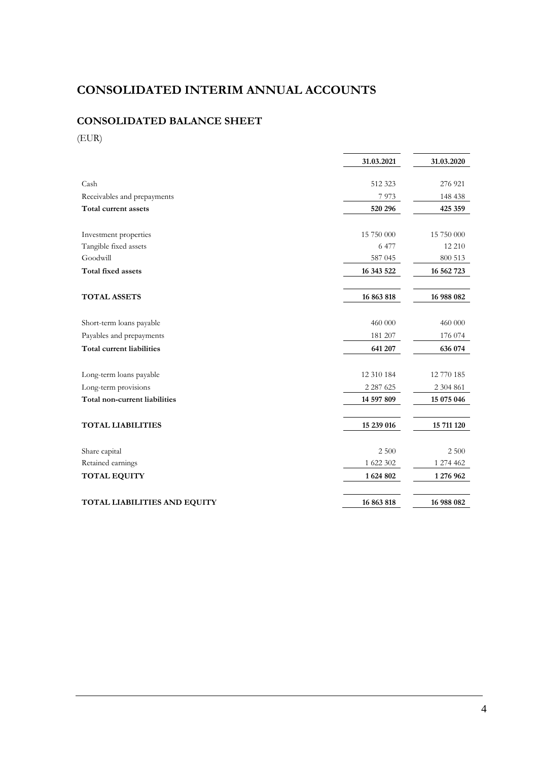# **CONSOLIDATED INTERIM ANNUAL ACCOUNTS**

## **CONSOLIDATED BALANCE SHEET**

(EUR)

|                                     | 31.03.2021    | 31.03.2020 |
|-------------------------------------|---------------|------------|
|                                     |               |            |
| Cash                                | 512 323       | 276 921    |
| Receivables and prepayments         | 7973          | 148 438    |
| Total current assets                | 520 296       | 425 359    |
|                                     |               |            |
| Investment properties               | 15 750 000    | 15 750 000 |
| Tangible fixed assets               | 6 477         | 12 210     |
| Goodwill                            | 587 045       | 800 513    |
| Total fixed assets                  | 16 343 522    | 16 562 723 |
|                                     |               |            |
| <b>TOTAL ASSETS</b>                 | 16 863 818    | 16 988 082 |
|                                     |               |            |
| Short-term loans payable            | 460 000       | 460 000    |
| Payables and prepayments            | 181 207       | 176 074    |
| <b>Total current liabilities</b>    | 641 207       | 636 074    |
|                                     |               |            |
| Long-term loans payable             | 12 310 184    | 12 770 185 |
| Long-term provisions                | 2 2 8 7 6 2 5 | 2 304 861  |
| Total non-current liabilities       | 14 597 809    | 15 075 046 |
|                                     |               |            |
| <b>TOTAL LIABILITIES</b>            | 15 239 016    | 15 711 120 |
|                                     |               |            |
| Share capital                       | 2 500         | 2 500      |
| Retained earnings                   | 1 622 302     | 1 274 462  |
| <b>TOTAL EQUITY</b>                 | 1624802       | 1 276 962  |
|                                     |               |            |
| <b>TOTAL LIABILITIES AND EQUITY</b> | 16 863 818    | 16 988 082 |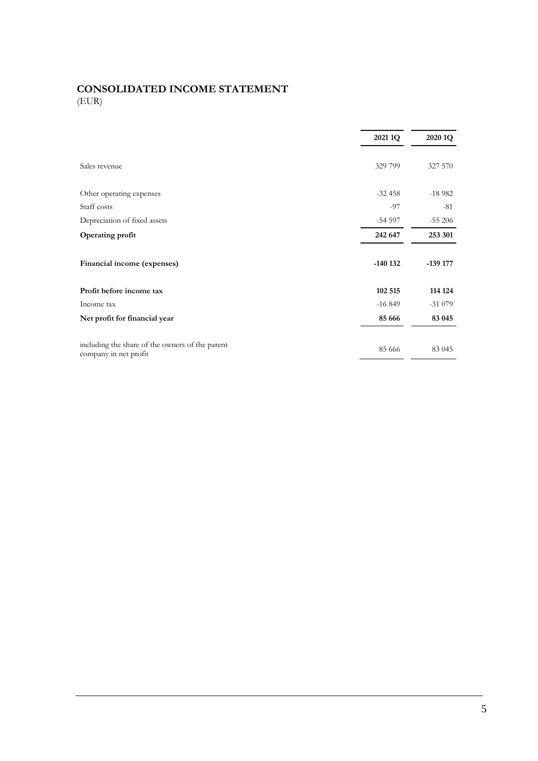## **CONSOLIDATED INCOME STATEMENT** (EUR)

|                                                                          | 2021 1Q   | 2020 1Q   |  |
|--------------------------------------------------------------------------|-----------|-----------|--|
| Sales revenue                                                            | 329 799   | 327 570   |  |
| Other operating expenses                                                 | $-32458$  | $-18982$  |  |
| Staff costs                                                              | -97       | $-81$     |  |
| Depreciation of fixed assets                                             | $-54597$  | $-55206$  |  |
| Operating profit                                                         | 242 647   | 253 301   |  |
| Financial income (expenses)                                              | $-140132$ | $-139177$ |  |
| Profit before income tax                                                 | 102 515   | 114 124   |  |
| Income tax                                                               | $-16849$  | $-31079$  |  |
| Net profit for financial year                                            | 85 666    | 83 045    |  |
| including the share of the owners of the parent<br>company in net profit | 85 666    | 83 045    |  |